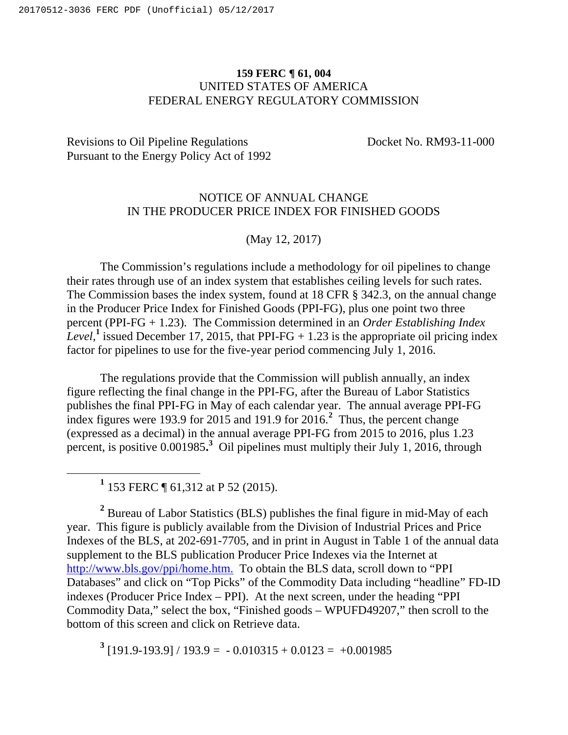## **159 FERC ¶ 61, 004** UNITED STATES OF AMERICA FEDERAL ENERGY REGULATORY COMMISSION

## Revisions to Oil Pipeline Regulations Docket No. RM93-11-000 Pursuant to the Energy Policy Act of 1992

## NOTICE OF ANNUAL CHANGE IN THE PRODUCER PRICE INDEX FOR FINISHED GOODS

## (May 12, 2017)

The Commission's regulations include a methodology for oil pipelines to change their rates through use of an index system that establishes ceiling levels for such rates. The Commission bases the index system, found at 18 CFR § 342.3, on the annual change in the Producer Price Index for Finished Goods (PPI-FG), plus one point two three percent (PPI-FG + 1.23). The Commission determined in an *Order Establishing Index*  Level,<sup>1</sup> issued December 17, 2015, that PPI-FG  $+$  1.23 is the appropriate oil pricing index factor for pipelines to use for the five-year period commencing July 1, 2016.

The regulations provide that the Commission will publish annually, an index figure reflecting the final change in the PPI-FG, after the Bureau of Labor Statistics publishes the final PPI-FG in May of each calendar year. The annual average PPI-FG index figures were 193.9 for 2015 and 191.9 for 2016.**<sup>2</sup>** Thus, the percent change (expressed as a decimal) in the annual average PPI-FG from 2015 to 2016, plus 1.23 percent, is positive 0.001985.<sup>3</sup> Oil pipelines must multiply their July 1, 2016, through

**<sup>1</sup>** 153 FERC ¶ 61,312 at P 52 (2015).

**<sup>2</sup>** Bureau of Labor Statistics (BLS) publishes the final figure in mid-May of each year. This figure is publicly available from the Division of Industrial Prices and Price Indexes of the BLS, at 202-691-7705, and in print in August in Table 1 of the annual data supplement to the BLS publication Producer Price Indexes via the Internet at http://www.bls.gov/ppi/home.htm. To obtain the BLS data, scroll down to "PPI Databases" and click on "Top Picks" of the Commodity Data including "headline" FD-ID indexes (Producer Price Index – PPI). At the next screen, under the heading "PPI Commodity Data," select the box, "Finished goods – WPUFD49207," then scroll to the bottom of this screen and click on Retrieve data.

 $3$  [191.9-193.9] / 193.9 = -0.010315 + 0.0123 = +0.001985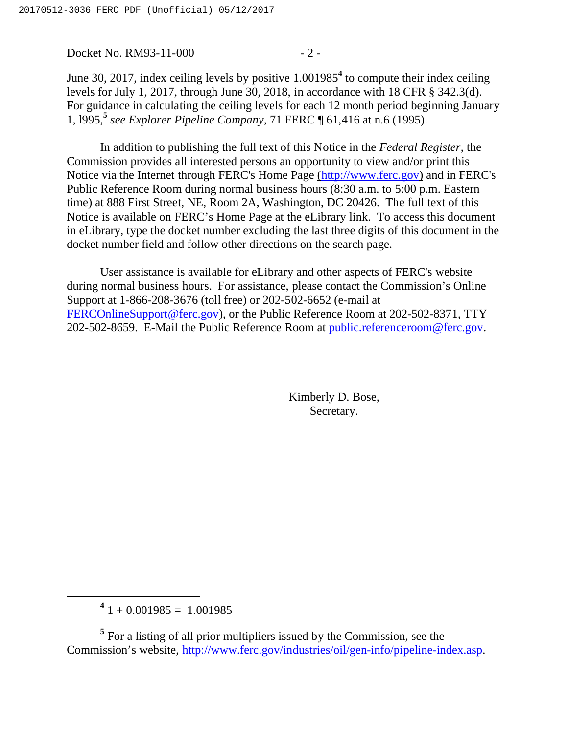Docket No. RM93-11-000 - 2 -

June 30, 2017, index ceiling levels by positive 1.001985**<sup>4</sup>** to compute their index ceiling levels for July 1, 2017, through June 30, 2018, in accordance with 18 CFR § 342.3(d). For guidance in calculating the ceiling levels for each 12 month period beginning January 1, l995,**<sup>5</sup>** *see Explorer Pipeline Company*, 71 FERC ¶ 61,416 at n.6 (1995).

In addition to publishing the full text of this Notice in the *Federal Register*, the Commission provides all interested persons an opportunity to view and/or print this Notice via the Internet through FERC's Home Page (http://www.ferc.gov) and in FERC's Public Reference Room during normal business hours (8:30 a.m. to 5:00 p.m. Eastern time) at 888 First Street, NE, Room 2A, Washington, DC 20426. The full text of this Notice is available on FERC's Home Page at the eLibrary link. To access this document in eLibrary, type the docket number excluding the last three digits of this document in the docket number field and follow other directions on the search page.

User assistance is available for eLibrary and other aspects of FERC's website during normal business hours. For assistance, please contact the Commission's Online Support at 1-866-208-3676 (toll free) or 202-502-6652 (e-mail at FERCOnlineSupport@ferc.gov), or the Public Reference Room at 202-502-8371, TTY 202-502-8659. E-Mail the Public Reference Room at public.referenceroom@ferc.gov.

> Kimberly D. Bose, Secretary.

 $4^{4}$  1 + 0.001985 = 1.001985

<sup>&</sup>lt;sup>5</sup> For a listing of all prior multipliers issued by the Commission, see the Commission's website, http://www.ferc.gov/industries/oil/gen-info/pipeline-index.asp.